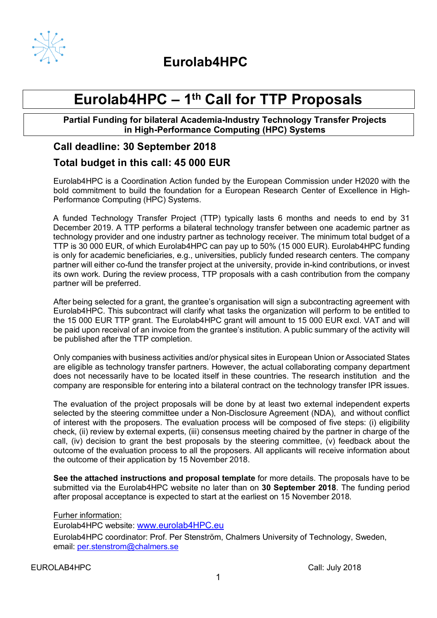

**Eurolab4HPC**

## **Eurolab4HPC – 1th Call for TTP Proposals**

**Partial Funding for bilateral Academia-Industry Technology Transfer Projects in High-Performance Computing (HPC) Systems**

## **Call deadline: 30 September 2018**

## **Total budget in this call: 45 000 EUR**

Eurolab4HPC is a Coordination Action funded by the European Commission under H2020 with the bold commitment to build the foundation for a European Research Center of Excellence in High-Performance Computing (HPC) Systems.

A funded Technology Transfer Project (TTP) typically lasts 6 months and needs to end by 31 December 2019. A TTP performs a bilateral technology transfer between one academic partner as technology provider and one industry partner as technology receiver. The minimum total budget of a TTP is 30 000 EUR, of which Eurolab4HPC can pay up to 50% (15 000 EUR). Eurolab4HPC funding is only for academic beneficiaries, e.g., universities, publicly funded research centers. The company partner will either co-fund the transfer project at the university, provide in-kind contributions, or invest its own work. During the review process, TTP proposals with a cash contribution from the company partner will be preferred.

After being selected for a grant, the grantee's organisation will sign a subcontracting agreement with Eurolab4HPC. This subcontract will clarify what tasks the organization will perform to be entitled to the 15 000 EUR TTP grant. The Eurolab4HPC grant will amount to 15 000 EUR excl. VAT and will be paid upon receival of an invoice from the grantee's institution. A public summary of the activity will be published after the TTP completion.

Only companies with business activities and/or physical sites in European Union or Associated States are eligible as technology transfer partners. However, the actual collaborating company department does not necessarily have to be located itself in these countries. The research institution and the company are responsible for entering into a bilateral contract on the technology transfer IPR issues.

The evaluation of the project proposals will be done by at least two external independent experts selected by the steering committee under a Non-Disclosure Agreement (NDA), and without conflict of interest with the proposers. The evaluation process will be composed of five steps: (i) eligibility check, (ii) review by external experts, (iii) consensus meeting chaired by the partner in charge of the call, (iv) decision to grant the best proposals by the steering committee, (v) feedback about the outcome of the evaluation process to all the proposers. All applicants will receive information about the outcome of their application by 15 November 2018.

**See the attached instructions and proposal template** for more details. The proposals have to be submitted via the Eurolab4HPC website no later than on **30 September 2018**. The funding period after proposal acceptance is expected to start at the earliest on 15 November 2018.

Furher information: Eurolab4HPC website: www.eurolab4HPC.eu Eurolab4HPC coordinator: Prof. Per Stenström, Chalmers University of Technology, Sweden, email: per.stenstrom@chalmers.se